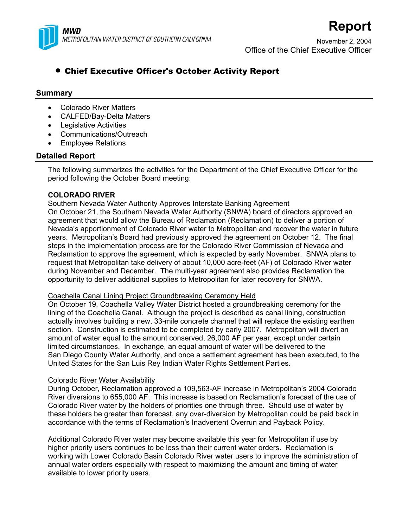

November 2, 2004 Office of the Chief Executive Officer

**Report**

# • Chief Executive Officer's October Activity Report

# **Summary**

- Colorado River Matters
- CALFED/Bay-Delta Matters
- Legislative Activities
- Communications/Outreach
- Employee Relations

# **Detailed Report**

The following summarizes the activities for the Department of the Chief Executive Officer for the period following the October Board meeting:

# **COLORADO RIVER**

# Southern Nevada Water Authority Approves Interstate Banking Agreement

On October 21, the Southern Nevada Water Authority (SNWA) board of directors approved an agreement that would allow the Bureau of Reclamation (Reclamation) to deliver a portion of Nevada's apportionment of Colorado River water to Metropolitan and recover the water in future years. Metropolitan's Board had previously approved the agreement on October 12. The final steps in the implementation process are for the Colorado River Commission of Nevada and Reclamation to approve the agreement, which is expected by early November. SNWA plans to request that Metropolitan take delivery of about 10,000 acre-feet (AF) of Colorado River water during November and December. The multi-year agreement also provides Reclamation the opportunity to deliver additional supplies to Metropolitan for later recovery for SNWA.

# Coachella Canal Lining Project Groundbreaking Ceremony Held

On October 19, Coachella Valley Water District hosted a groundbreaking ceremony for the lining of the Coachella Canal. Although the project is described as canal lining, construction actually involves building a new, 33-mile concrete channel that will replace the existing earthen section. Construction is estimated to be completed by early 2007. Metropolitan will divert an amount of water equal to the amount conserved, 26,000 AF per year, except under certain limited circumstances. In exchange, an equal amount of water will be delivered to the San Diego County Water Authority, and once a settlement agreement has been executed, to the United States for the San Luis Rey Indian Water Rights Settlement Parties.

# Colorado River Water Availability

During October, Reclamation approved a 109,563-AF increase in Metropolitan's 2004 Colorado River diversions to 655,000 AF. This increase is based on Reclamation's forecast of the use of Colorado River water by the holders of priorities one through three. Should use of water by these holders be greater than forecast, any over-diversion by Metropolitan could be paid back in accordance with the terms of Reclamation's Inadvertent Overrun and Payback Policy.

Additional Colorado River water may become available this year for Metropolitan if use by higher priority users continues to be less than their current water orders. Reclamation is working with Lower Colorado Basin Colorado River water users to improve the administration of annual water orders especially with respect to maximizing the amount and timing of water available to lower priority users.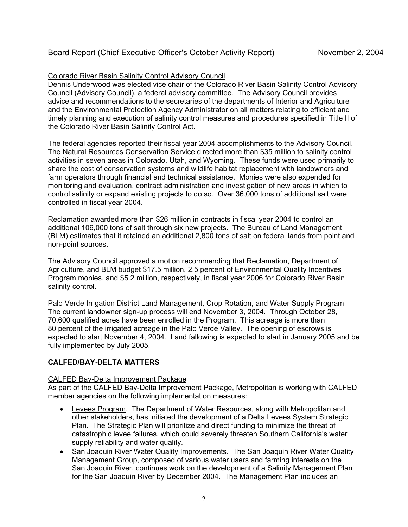# Colorado River Basin Salinity Control Advisory Council

Dennis Underwood was elected vice chair of the Colorado River Basin Salinity Control Advisory Council (Advisory Council), a federal advisory committee. The Advisory Council provides advice and recommendations to the secretaries of the departments of Interior and Agriculture and the Environmental Protection Agency Administrator on all matters relating to efficient and timely planning and execution of salinity control measures and procedures specified in Title II of the Colorado River Basin Salinity Control Act.

The federal agencies reported their fiscal year 2004 accomplishments to the Advisory Council. The Natural Resources Conservation Service directed more than \$35 million to salinity control activities in seven areas in Colorado, Utah, and Wyoming. These funds were used primarily to share the cost of conservation systems and wildlife habitat replacement with landowners and farm operators through financial and technical assistance. Monies were also expended for monitoring and evaluation, contract administration and investigation of new areas in which to control salinity or expand existing projects to do so. Over 36,000 tons of additional salt were controlled in fiscal year 2004.

Reclamation awarded more than \$26 million in contracts in fiscal year 2004 to control an additional 106,000 tons of salt through six new projects. The Bureau of Land Management (BLM) estimates that it retained an additional 2,800 tons of salt on federal lands from point and non-point sources.

The Advisory Council approved a motion recommending that Reclamation, Department of Agriculture, and BLM budget \$17.5 million, 2.5 percent of Environmental Quality Incentives Program monies, and \$5.2 million, respectively, in fiscal year 2006 for Colorado River Basin salinity control.

Palo Verde Irrigation District Land Management, Crop Rotation, and Water Supply Program The current landowner sign-up process will end November 3, 2004. Through October 28, 70,600 qualified acres have been enrolled in the Program. This acreage is more than 80 percent of the irrigated acreage in the Palo Verde Valley. The opening of escrows is expected to start November 4, 2004. Land fallowing is expected to start in January 2005 and be fully implemented by July 2005.

# **CALFED/BAY-DELTA MATTERS**

# CALFED Bay-Delta Improvement Package

As part of the CALFED Bay-Delta Improvement Package, Metropolitan is working with CALFED member agencies on the following implementation measures:

- Levees Program. The Department of Water Resources, along with Metropolitan and other stakeholders, has initiated the development of a Delta Levees System Strategic Plan. The Strategic Plan will prioritize and direct funding to minimize the threat of catastrophic levee failures, which could severely threaten Southern California's water supply reliability and water quality.
- San Joaquin River Water Quality Improvements.The San Joaquin River Water Quality Management Group, composed of various water users and farming interests on the San Joaquin River, continues work on the development of a Salinity Management Plan for the San Joaquin River by December 2004. The Management Plan includes an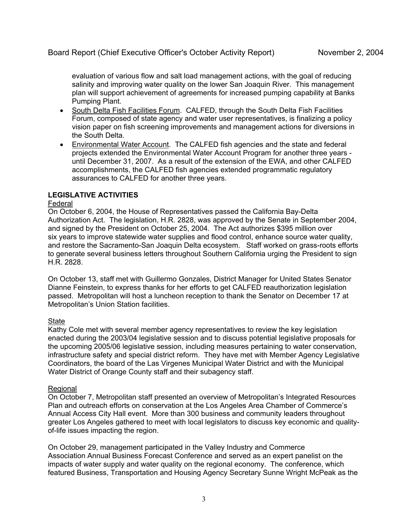evaluation of various flow and salt load management actions, with the goal of reducing salinity and improving water quality on the lower San Joaquin River. This management plan will support achievement of agreements for increased pumping capability at Banks Pumping Plant.

- South Delta Fish Facilities Forum. CALFED, through the South Delta Fish Facilities Forum, composed of state agency and water user representatives, is finalizing a policy vision paper on fish screening improvements and management actions for diversions in the South Delta.
- Environmental Water Account. The CALFED fish agencies and the state and federal projects extended the Environmental Water Account Program for another three years until December 31, 2007. As a result of the extension of the EWA, and other CALFED accomplishments, the CALFED fish agencies extended programmatic regulatory assurances to CALFED for another three years.

# **LEGISLATIVE ACTIVITIES**

# Federal

On October 6, 2004, the House of Representatives passed the California Bay-Delta Authorization Act. The legislation, H.R. 2828, was approved by the Senate in September 2004, and signed by the President on October 25, 2004. The Act authorizes \$395 million over six years to improve statewide water supplies and flood control, enhance source water quality, and restore the Sacramento-San Joaquin Delta ecosystem. Staff worked on grass-roots efforts to generate several business letters throughout Southern California urging the President to sign H.R. 2828.

On October 13, staff met with Guillermo Gonzales, District Manager for United States Senator Dianne Feinstein, to express thanks for her efforts to get CALFED reauthorization legislation passed. Metropolitan will host a luncheon reception to thank the Senator on December 17 at Metropolitan's Union Station facilities.

# State

Kathy Cole met with several member agency representatives to review the key legislation enacted during the 2003/04 legislative session and to discuss potential legislative proposals for the upcoming 2005/06 legislative session, including measures pertaining to water conservation, infrastructure safety and special district reform. They have met with Member Agency Legislative Coordinators, the board of the Las Virgenes Municipal Water District and with the Municipal Water District of Orange County staff and their subagency staff.

### Regional

On October 7, Metropolitan staff presented an overview of Metropolitan's Integrated Resources Plan and outreach efforts on conservation at the Los Angeles Area Chamber of Commerce's Annual Access City Hall event. More than 300 business and community leaders throughout greater Los Angeles gathered to meet with local legislators to discuss key economic and qualityof-life issues impacting the region.

On October 29, management participated in the Valley Industry and Commerce Association Annual Business Forecast Conference and served as an expert panelist on the impacts of water supply and water quality on the regional economy. The conference, which featured Business, Transportation and Housing Agency Secretary Sunne Wright McPeak as the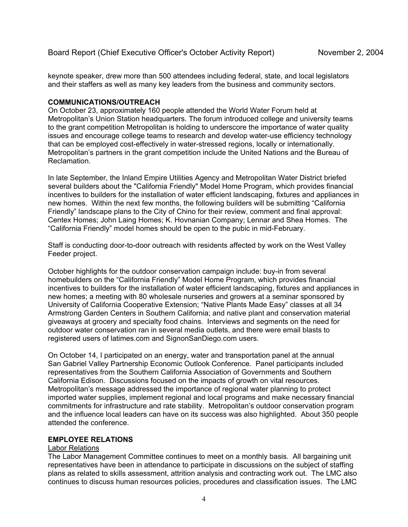keynote speaker, drew more than 500 attendees including federal, state, and local legislators and their staffers as well as many key leaders from the business and community sectors.

### **COMMUNICATIONS/OUTREACH**

On October 23, approximately 160 people attended the World Water Forum held at Metropolitan's Union Station headquarters. The forum introduced college and university teams to the grant competition Metropolitan is holding to underscore the importance of water quality issues and encourage college teams to research and develop water-use efficiency technology that can be employed cost-effectively in water-stressed regions, locally or internationally. Metropolitan's partners in the grant competition include the United Nations and the Bureau of Reclamation.

In late September, the Inland Empire Utilities Agency and Metropolitan Water District briefed several builders about the "California Friendly" Model Home Program, which provides financial incentives to builders for the installation of water efficient landscaping, fixtures and appliances in new homes. Within the next few months, the following builders will be submitting "California Friendly" landscape plans to the City of Chino for their review, comment and final approval: Centex Homes; John Laing Homes; K. Hovnanian Company; Lennar and Shea Homes. The "California Friendly" model homes should be open to the pubic in mid-February.

Staff is conducting door-to-door outreach with residents affected by work on the West Valley Feeder project.

October highlights for the outdoor conservation campaign include: buy-in from several homebuilders on the "California Friendly" Model Home Program, which provides financial incentives to builders for the installation of water efficient landscaping, fixtures and appliances in new homes; a meeting with 80 wholesale nurseries and growers at a seminar sponsored by University of California Cooperative Extension; "Native Plants Made Easy" classes at all 34 Armstrong Garden Centers in Southern California; and native plant and conservation material giveaways at grocery and specialty food chains. Interviews and segments on the need for outdoor water conservation ran in several media outlets, and there were email blasts to registered users of latimes.com and SignonSanDiego.com users.

On October 14, I participated on an energy, water and transportation panel at the annual San Gabriel Valley Partnership Economic Outlook Conference. Panel participants included representatives from the Southern California Association of Governments and Southern California Edison. Discussions focused on the impacts of growth on vital resources. Metropolitan's message addressed the importance of regional water planning to protect imported water supplies, implement regional and local programs and make necessary financial commitments for infrastructure and rate stability. Metropolitan's outdoor conservation program and the influence local leaders can have on its success was also highlighted. About 350 people attended the conference.

### **EMPLOYEE RELATIONS**

# Labor Relations

The Labor Management Committee continues to meet on a monthly basis. All bargaining unit representatives have been in attendance to participate in discussions on the subject of staffing plans as related to skills assessment, attrition analysis and contracting work out. The LMC also continues to discuss human resources policies, procedures and classification issues. The LMC